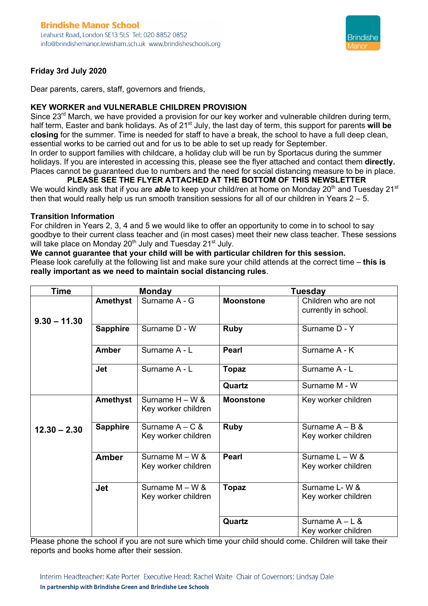

#### **Friday 3rd July 2020**

Dear parents, carers, staff, governors and friends,

#### **KEY WORKER and VULNERABLE CHILDREN PROVISION**

Since 23<sup>rd</sup> March, we have provided a provision for our key worker and vulnerable children during term, half term, Easter and bank holidays. As of 21<sup>st</sup> July, the last day of term, this support for parents will be **closing** for the summer. Time is needed for staff to have a break, the school to have a full deep clean, essential works to be carried out and for us to be able to set up ready for September. In order to support families with childcare, a holiday club will be run by Sportacus during the summer holidays. If you are interested in accessing this, please see the flyer attached and contact them **directly.** Places cannot be guaranteed due to numbers and the need for social distancing measure to be in place.

**PLEASE SEE THE FLYER ATTACHED AT THE BOTTOM OF THIS NEWSLETTER** We would kindly ask that if you are *able* to keep your child/ren at home on Monday 20<sup>th</sup> and Tuesday 21<sup>st</sup> then that would really help us run smooth transition sessions for all of our children in Years  $2 - 5$ .

#### **Transition Information**

For children in Years 2, 3, 4 and 5 we would like to offer an opportunity to come in to school to say goodbye to their current class teacher and (in most cases) meet their new class teacher. These sessions will take place on Monday 20<sup>th</sup> July and Tuesday 21<sup>st</sup> July.

#### **We cannot guarantee that your child will be with particular children for this session.**

Please look carefully at the following list and make sure your child attends at the correct time – **this is really important as we need to maintain social distancing rules**.

| <b>Time</b>    | <b>Monday</b>   |                                          | <b>Tuesday</b>   |                                              |
|----------------|-----------------|------------------------------------------|------------------|----------------------------------------------|
| $9.30 - 11.30$ | <b>Amethyst</b> | Surname A - G                            | <b>Moonstone</b> | Children who are not<br>currently in school. |
|                | <b>Sapphire</b> | Surname D - W                            | <b>Ruby</b>      | Surname D - Y                                |
|                | <b>Amber</b>    | Surname A - L                            | <b>Pearl</b>     | Surname A - K                                |
|                | <b>Jet</b>      | Surname A - L                            | <b>Topaz</b>     | Surname A - L                                |
|                |                 |                                          | Quartz           | Surname M - W                                |
|                | Amethyst        | Surname $H - W$ &<br>Key worker children | <b>Moonstone</b> | Key worker children                          |
| $12.30 - 2.30$ | <b>Sapphire</b> | Surname $A - C$ &<br>Key worker children | <b>Ruby</b>      | Surname $A - B$ &<br>Key worker children     |
|                | <b>Amber</b>    | Surname $M - W$ &<br>Key worker children | <b>Pearl</b>     | Surname $L - W$ &<br>Key worker children     |
|                | <b>Jet</b>      | Surname $M - W$ &<br>Key worker children | <b>Topaz</b>     | Surname L-W &<br>Key worker children         |
|                |                 |                                          | Quartz           | Surname $A - L$ &<br>Key worker children     |

Please phone the school if you are not sure which time your child should come. Children will take their reports and books home after their session.